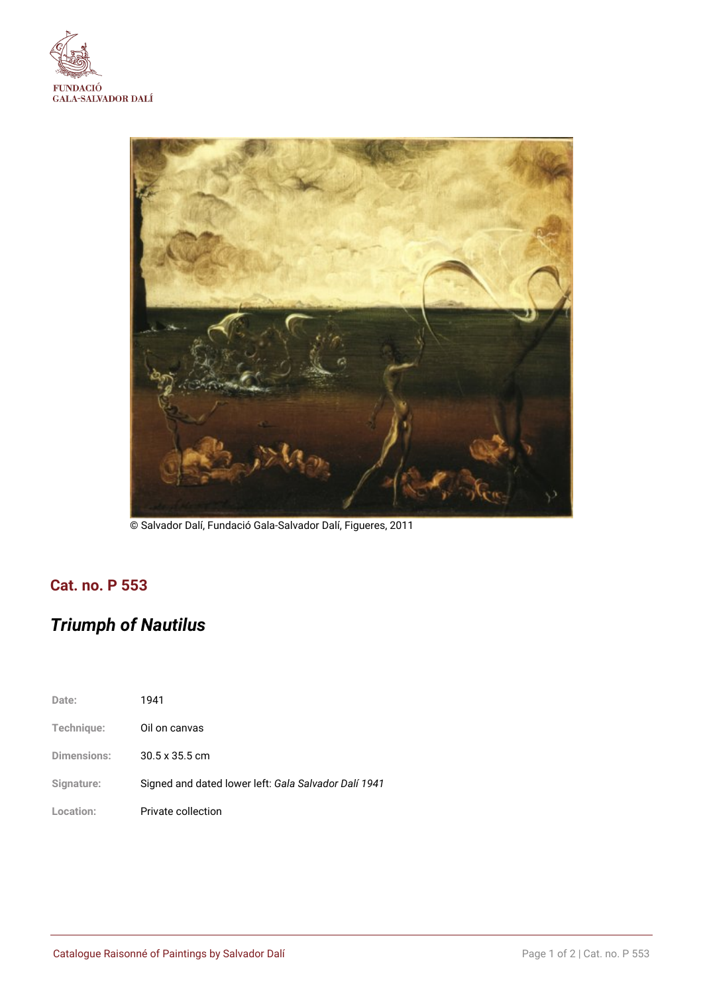



© Salvador Dalí, Fundació Gala-Salvador Dalí, Figueres, 2011

## **Cat. no. P 553**

# *Triumph of Nautilus*

| Date:              | 1941                                                 |
|--------------------|------------------------------------------------------|
| Technique:         | Oil on canvas                                        |
| <b>Dimensions:</b> | $30.5 \times 35.5$ cm                                |
| Signature:         | Signed and dated lower left: Gala Salvador Dalí 1941 |
| Location:          | Private collection                                   |